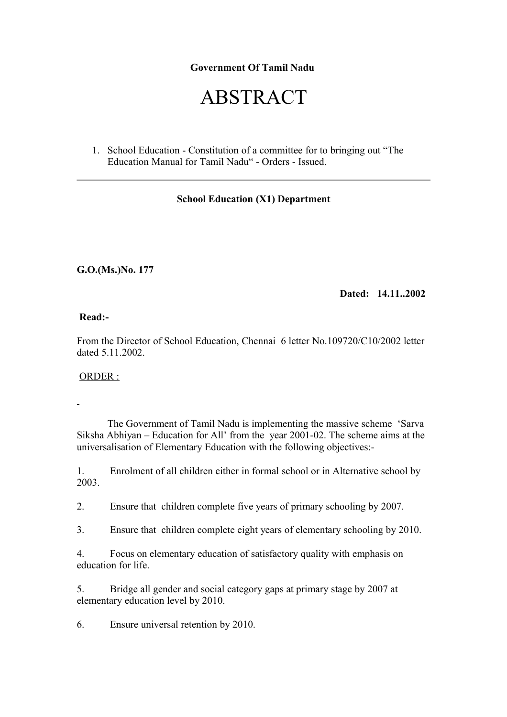### **Government Of Tamil Nadu**

# ABSTRACT

1. School Education - Constitution of a committee for to bringing out "The Education Manual for Tamil Nadu" - Orders - Issued.

#### **School Education (X1) Department**

**G.O.(Ms.)No. 177**

**Dated: 14.11..2002**

**Read:-**

From the Director of School Education, Chennai 6 letter No.109720/C10/2002 letter dated 5.11.2002.

ORDER :

 The Government of Tamil Nadu is implementing the massive scheme 'Sarva Siksha Abhiyan – Education for All' from the year 2001-02. The scheme aims at the universalisation of Elementary Education with the following objectives:-

1. Enrolment of all children either in formal school or in Alternative school by 2003.

2. Ensure that children complete five years of primary schooling by 2007.

3. Ensure that children complete eight years of elementary schooling by 2010.

4. Focus on elementary education of satisfactory quality with emphasis on education for life.

5. Bridge all gender and social category gaps at primary stage by 2007 at elementary education level by 2010.

6. Ensure universal retention by 2010.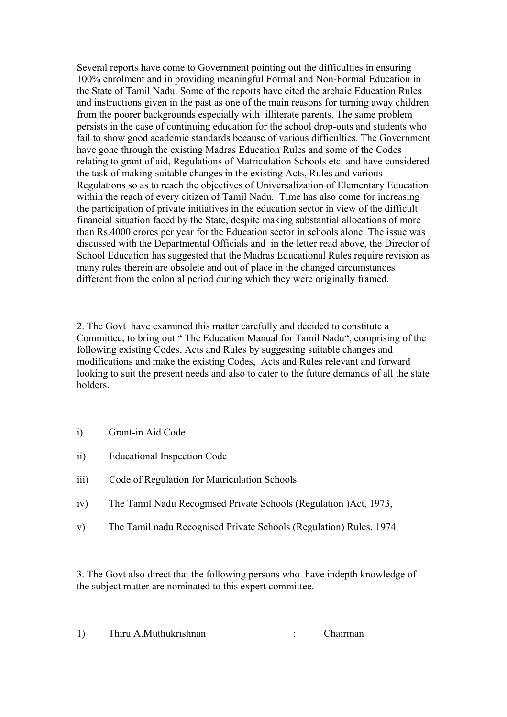Several reports have come to Government pointing out the difficulties in ensuring 100% enrolment and in providing meaningful Formal and Non-Formal Education in the State of Tamil Nadu. Some of the reports have cited the archaic Education Rules and instructions given in the past as one of the main reasons for turning away children from the poorer backgrounds especially with illiterate parents. The same problem persists in the case of continuing education for the school drop-outs and students who fail to show good academic standards because of various difficulties. The Government have gone through the existing Madras Education Rules and some of the Codes relating to grant of aid, Regulations of Matriculation Schools etc. and have considered the task of making suitable changes in the existing Acts, Rules and various Regulations so as to reach the objectives of Universalization of Elementary Education within the reach of every citizen of Tamil Nadu. Time has also come for increasing the participation of private initiatives in the education sector in view of the difficult financial situation faced by the State, despite making substantial allocations of more than Rs.4000 crores per year for the Education sector in schools alone. The issue was discussed with the Departmental Officials and in the letter read above, the Director of School Education has suggested that the Madras Educational Rules require revision as many rules therein are obsolete and out of place in the changed circumstances different from the colonial period during which they were originally framed.

2. The Govt have examined this matter carefully and decided to constitute a Committee, to bring out " The Education Manual for Tamil Nadu", comprising of the following existing Codes, Acts and Rules by suggesting suitable changes and modifications and make the existing Codes, Acts and Rules relevant and forward looking to suit the present needs and also to cater to the future demands of all the state holders.

- i) Grant-in Aid Code
- ii) Educational Inspection Code
- iii) Code of Regulation for Matriculation Schools
- iv) The Tamil Nadu Recognised Private Schools (Regulation )Act, 1973,
- v) The Tamil nadu Recognised Private Schools (Regulation) Rules. 1974.

3. The Govt also direct that the following persons who have indepth knowledge of the subject matter are nominated to this expert committee.

| Thiru A.Muthukrishnan |  | Chairman |
|-----------------------|--|----------|
|-----------------------|--|----------|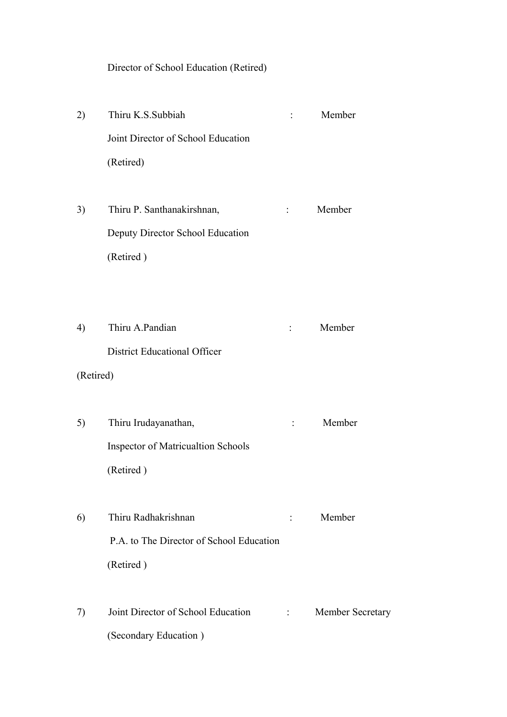Director of School Education (Retired)

2) Thiru K.S.Subbiah : Member Joint Director of School Education (Retired) 3) Thiru P. Santhanakirshnan, : Member Deputy Director School Education (Retired )

4) Thiru A.Pandian : Member District Educational Officer

(Retired)

- 5) Thiru Irudayanathan, : Member Inspector of Matricualtion Schools (Retired )
- 6) Thiru Radhakrishnan : Member P.A. to The Director of School Education (Retired )
- 7) Joint Director of School Education : Member Secretary (Secondary Education )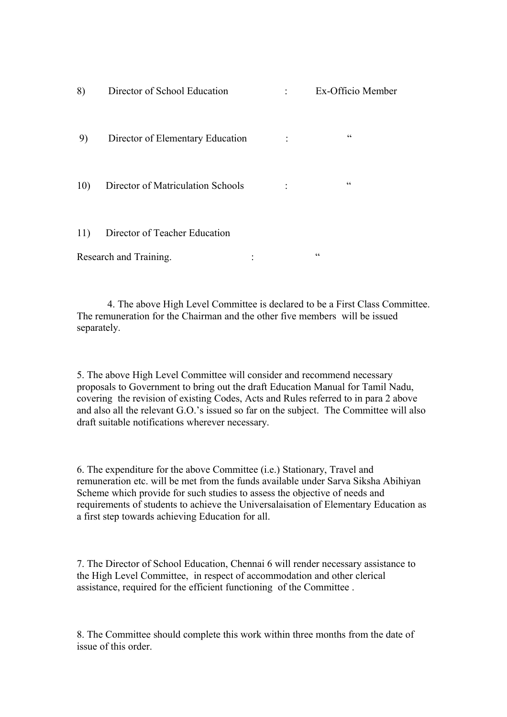| 8)  | Director of School Education      | Ex-Officio Member |
|-----|-----------------------------------|-------------------|
| 9)  | Director of Elementary Education  | cc                |
| 10) | Director of Matriculation Schools | $\zeta\,\zeta$    |
| 11) | Director of Teacher Education     |                   |
|     | Research and Training.            | cc                |

 4. The above High Level Committee is declared to be a First Class Committee. The remuneration for the Chairman and the other five members will be issued separately.

5. The above High Level Committee will consider and recommend necessary proposals to Government to bring out the draft Education Manual for Tamil Nadu, covering the revision of existing Codes, Acts and Rules referred to in para 2 above and also all the relevant G.O.'s issued so far on the subject. The Committee will also draft suitable notifications wherever necessary.

6. The expenditure for the above Committee (i.e.) Stationary, Travel and remuneration etc. will be met from the funds available under Sarva Siksha Abihiyan Scheme which provide for such studies to assess the objective of needs and requirements of students to achieve the Universalaisation of Elementary Education as a first step towards achieving Education for all.

7. The Director of School Education, Chennai 6 will render necessary assistance to the High Level Committee, in respect of accommodation and other clerical assistance, required for the efficient functioning of the Committee .

8. The Committee should complete this work within three months from the date of issue of this order.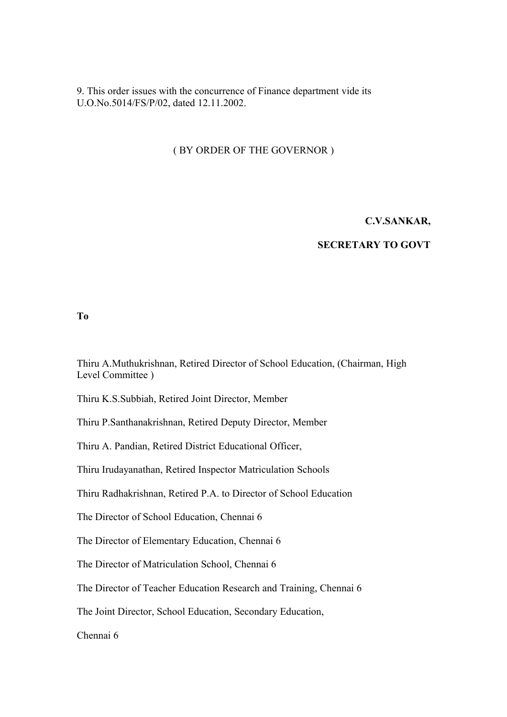9. This order issues with the concurrence of Finance department vide its U.O.No.5014/FS/P/02, dated 12.11.2002.

#### ( BY ORDER OF THE GOVERNOR )

#### **C.V.SANKAR,**

#### **SECRETARY TO GOVT**

#### **To**

Thiru A.Muthukrishnan, Retired Director of School Education, (Chairman, High Level Committee )

Thiru K.S.Subbiah, Retired Joint Director, Member

Thiru P.Santhanakrishnan, Retired Deputy Director, Member

Thiru A. Pandian, Retired District Educational Officer,

Thiru Irudayanathan, Retired Inspector Matriculation Schools

Thiru Radhakrishnan, Retired P.A. to Director of School Education

The Director of School Education, Chennai 6

The Director of Elementary Education, Chennai 6

The Director of Matriculation School, Chennai 6

The Director of Teacher Education Research and Training, Chennai 6

The Joint Director, School Education, Secondary Education,

Chennai 6